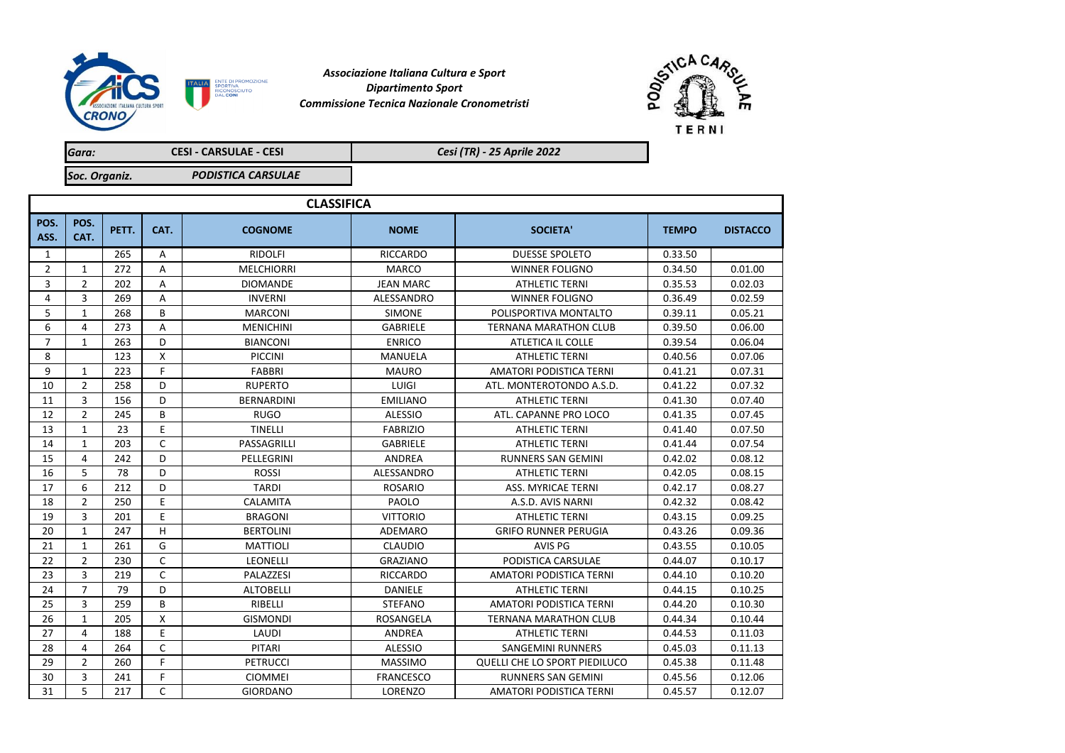

*Commissione Tecnica Nazionale Cronometristi Associazione Italiana Cultura e Sport Dipartimento Sport*



*Gara: Soc. Organiz.* **CESI - CARSULAE - CESI** *PODISTICA CARSULAE Cesi (TR) - 25 Aprile 2022*

| <b>CLASSIFICA</b> |                |       |          |                   |                  |                                |              |                 |  |
|-------------------|----------------|-------|----------|-------------------|------------------|--------------------------------|--------------|-----------------|--|
| POS.<br>ASS.      | POS.<br>CAT.   | PETT. | CAT.     | <b>COGNOME</b>    | <b>NOME</b>      | <b>SOCIETA'</b>                | <b>TEMPO</b> | <b>DISTACCO</b> |  |
| 1                 |                | 265   | Α        | <b>RIDOLFI</b>    | <b>RICCARDO</b>  | <b>DUESSE SPOLETO</b>          | 0.33.50      |                 |  |
| $\overline{2}$    | $\mathbf{1}$   | 272   | Α        | <b>MELCHIORRI</b> | <b>MARCO</b>     | <b>WINNER FOLIGNO</b>          | 0.34.50      | 0.01.00         |  |
| 3                 | $\overline{2}$ | 202   | A        | <b>DIOMANDE</b>   | <b>JEAN MARC</b> | <b>ATHLETIC TERNI</b>          | 0.35.53      | 0.02.03         |  |
| 4                 | 3              | 269   | A        | <b>INVERNI</b>    | ALESSANDRO       | <b>WINNER FOLIGNO</b>          | 0.36.49      | 0.02.59         |  |
| 5                 | $\mathbf{1}$   | 268   | B        | <b>MARCONI</b>    | <b>SIMONE</b>    | POLISPORTIVA MONTALTO          | 0.39.11      | 0.05.21         |  |
| 6                 | 4              | 273   | A        | <b>MENICHINI</b>  | <b>GABRIELE</b>  | <b>TERNANA MARATHON CLUB</b>   | 0.39.50      | 0.06.00         |  |
| $\overline{7}$    | $\mathbf{1}$   | 263   | D        | <b>BIANCONI</b>   | <b>ENRICO</b>    | ATLETICA IL COLLE              | 0.39.54      | 0.06.04         |  |
| 8                 |                | 123   | Χ        | <b>PICCINI</b>    | <b>MANUELA</b>   | <b>ATHLETIC TERNI</b>          | 0.40.56      | 0.07.06         |  |
| 9                 | $\mathbf{1}$   | 223   | F        | FABBRI            | <b>MAURO</b>     | <b>AMATORI PODISTICA TERNI</b> | 0.41.21      | 0.07.31         |  |
| 10                | $\overline{2}$ | 258   | D        | <b>RUPERTO</b>    | LUIGI            | ATL. MONTEROTONDO A.S.D.       | 0.41.22      | 0.07.32         |  |
| 11                | 3              | 156   | D        | <b>BERNARDINI</b> | <b>EMILIANO</b>  | <b>ATHLETIC TERNI</b>          | 0.41.30      | 0.07.40         |  |
| 12                | $\overline{2}$ | 245   | B        | <b>RUGO</b>       | <b>ALESSIO</b>   | ATL, CAPANNE PRO LOCO          | 0.41.35      | 0.07.45         |  |
| 13                | $\mathbf{1}$   | 23    | E        | <b>TINELLI</b>    | <b>FABRIZIO</b>  | <b>ATHLETIC TERNI</b>          | 0.41.40      | 0.07.50         |  |
| 14                | $\mathbf{1}$   | 203   | C        | PASSAGRILLI       | <b>GABRIELE</b>  | <b>ATHLETIC TERNI</b>          | 0.41.44      | 0.07.54         |  |
| 15                | 4              | 242   | D        | PELLEGRINI        | <b>ANDREA</b>    | <b>RUNNERS SAN GEMINI</b>      | 0.42.02      | 0.08.12         |  |
| 16                | 5              | 78    | D        | <b>ROSSI</b>      | ALESSANDRO       | <b>ATHLETIC TERNI</b>          | 0.42.05      | 0.08.15         |  |
| 17                | 6              | 212   | D        | <b>TARDI</b>      | <b>ROSARIO</b>   | <b>ASS. MYRICAE TERNI</b>      | 0.42.17      | 0.08.27         |  |
| 18                | $\overline{2}$ | 250   | E        | CALAMITA          | PAOLO            | A.S.D. AVIS NARNI              | 0.42.32      | 0.08.42         |  |
| 19                | 3              | 201   | E        | <b>BRAGONI</b>    | <b>VITTORIO</b>  | <b>ATHLETIC TERNI</b>          | 0.43.15      | 0.09.25         |  |
| 20                | $\mathbf{1}$   | 247   | H        | <b>BERTOLINI</b>  | ADEMARO          | <b>GRIFO RUNNER PERUGIA</b>    | 0.43.26      | 0.09.36         |  |
| 21                | $\mathbf{1}$   | 261   | G        | <b>MATTIOLI</b>   | <b>CLAUDIO</b>   | <b>AVIS PG</b>                 | 0.43.55      | 0.10.05         |  |
| 22                | $\overline{2}$ | 230   | C        | <b>LEONELLI</b>   | <b>GRAZIANO</b>  | PODISTICA CARSULAE             | 0.44.07      | 0.10.17         |  |
| 23                | 3              | 219   | C        | PALAZZESI         | <b>RICCARDO</b>  | <b>AMATORI PODISTICA TERNI</b> | 0.44.10      | 0.10.20         |  |
| 24                | $\overline{7}$ | 79    | D        | <b>ALTOBELLI</b>  | <b>DANIELE</b>   | <b>ATHLETIC TERNI</b>          | 0.44.15      | 0.10.25         |  |
| 25                | 3              | 259   | B        | RIBELLI           | <b>STEFANO</b>   | <b>AMATORI PODISTICA TERNI</b> | 0.44.20      | 0.10.30         |  |
| 26                | $\mathbf{1}$   | 205   | $\times$ | <b>GISMONDI</b>   | <b>ROSANGELA</b> | <b>TERNANA MARATHON CLUB</b>   | 0.44.34      | 0.10.44         |  |
| 27                | 4              | 188   | E        | LAUDI             | ANDREA           | <b>ATHLETIC TERNI</b>          | 0.44.53      | 0.11.03         |  |
| 28                | 4              | 264   | C        | <b>PITARI</b>     | <b>ALESSIO</b>   | <b>SANGEMINI RUNNERS</b>       | 0.45.03      | 0.11.13         |  |
| 29                | $\overline{2}$ | 260   | F        | <b>PETRUCCI</b>   | <b>MASSIMO</b>   | QUELLI CHE LO SPORT PIEDILUCO  | 0.45.38      | 0.11.48         |  |
| 30                | 3              | 241   | F        | <b>CIOMMEI</b>    | <b>FRANCESCO</b> | <b>RUNNERS SAN GEMINI</b>      | 0.45.56      | 0.12.06         |  |
| 31                | 5              | 217   | C        | <b>GIORDANO</b>   | LORENZO          | AMATORI PODISTICA TERNI        | 0.45.57      | 0.12.07         |  |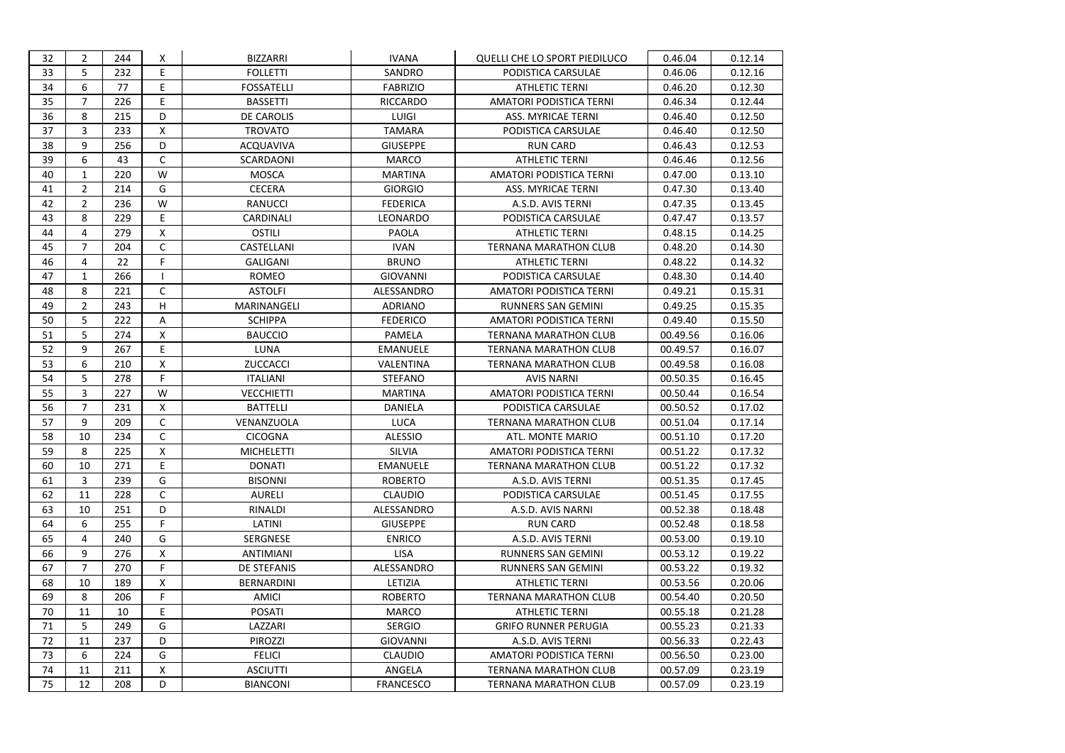| 32 | $\overline{2}$ | 244 | X            | <b>BIZZARRI</b>   | <b>IVANA</b>     | QUELLI CHE LO SPORT PIEDILUCO | 0.46.04  | 0.12.14 |
|----|----------------|-----|--------------|-------------------|------------------|-------------------------------|----------|---------|
| 33 | 5              | 232 | E            | <b>FOLLETTI</b>   | SANDRO           | PODISTICA CARSULAE            | 0.46.06  | 0.12.16 |
| 34 | 6              | 77  | E            | <b>FOSSATELLI</b> | <b>FABRIZIO</b>  | <b>ATHLETIC TERNI</b>         | 0.46.20  | 0.12.30 |
| 35 | $\overline{7}$ | 226 | E            | <b>BASSETTI</b>   | <b>RICCARDO</b>  | AMATORI PODISTICA TERNI       | 0.46.34  | 0.12.44 |
| 36 | 8              | 215 | D            | DE CAROLIS        | LUIGI            | ASS. MYRICAE TERNI            | 0.46.40  | 0.12.50 |
| 37 | 3              | 233 | X            | <b>TROVATO</b>    | <b>TAMARA</b>    | PODISTICA CARSULAE            | 0.46.40  | 0.12.50 |
| 38 | 9              | 256 | D            | ACQUAVIVA         | <b>GIUSEPPE</b>  | <b>RUN CARD</b>               | 0.46.43  | 0.12.53 |
| 39 | 6              | 43  | $\mathsf{C}$ | SCARDAONI         | <b>MARCO</b>     | <b>ATHLETIC TERNI</b>         | 0.46.46  | 0.12.56 |
| 40 | $\mathbf{1}$   | 220 | W            | <b>MOSCA</b>      | <b>MARTINA</b>   | AMATORI PODISTICA TERNI       | 0.47.00  | 0.13.10 |
| 41 | $\overline{2}$ | 214 | G            | <b>CECERA</b>     | <b>GIORGIO</b>   | ASS. MYRICAE TERNI            | 0.47.30  | 0.13.40 |
| 42 | $\overline{2}$ | 236 | W            | <b>RANUCCI</b>    | <b>FEDERICA</b>  | A.S.D. AVIS TERNI             | 0.47.35  | 0.13.45 |
| 43 | 8              | 229 | E            | CARDINALI         | LEONARDO         | PODISTICA CARSULAE            | 0.47.47  | 0.13.57 |
| 44 | 4              | 279 | X            | <b>OSTILI</b>     | PAOLA            | <b>ATHLETIC TERNI</b>         | 0.48.15  | 0.14.25 |
| 45 | $\overline{7}$ | 204 | C            | CASTELLANI        | <b>IVAN</b>      | <b>TERNANA MARATHON CLUB</b>  | 0.48.20  | 0.14.30 |
| 46 | $\overline{4}$ | 22  | F.           | <b>GALIGANI</b>   | <b>BRUNO</b>     | <b>ATHLETIC TERNI</b>         | 0.48.22  | 0.14.32 |
| 47 | $\mathbf{1}$   | 266 | $\mathbf{I}$ | ROMEO             | <b>GIOVANNI</b>  | PODISTICA CARSULAE            | 0.48.30  | 0.14.40 |
| 48 | 8              | 221 | C            | <b>ASTOLFI</b>    | ALESSANDRO       | AMATORI PODISTICA TERNI       | 0.49.21  | 0.15.31 |
| 49 | $\overline{2}$ | 243 | H            | MARINANGELI       | <b>ADRIANO</b>   | RUNNERS SAN GEMINI            | 0.49.25  | 0.15.35 |
| 50 | 5              | 222 | Α            | <b>SCHIPPA</b>    | <b>FEDERICO</b>  | AMATORI PODISTICA TERNI       | 0.49.40  | 0.15.50 |
| 51 | 5              | 274 | X            | <b>BAUCCIO</b>    | PAMELA           | <b>TERNANA MARATHON CLUB</b>  | 00.49.56 | 0.16.06 |
| 52 | 9              | 267 | E            | LUNA              | <b>EMANUELE</b>  | <b>TERNANA MARATHON CLUB</b>  | 00.49.57 | 0.16.07 |
| 53 | 6              | 210 | X            | ZUCCACCI          | VALENTINA        | <b>TERNANA MARATHON CLUB</b>  | 00.49.58 | 0.16.08 |
| 54 | 5              | 278 | F.           | <b>ITALIANI</b>   | <b>STEFANO</b>   | <b>AVIS NARNI</b>             | 00.50.35 | 0.16.45 |
| 55 | $\overline{3}$ | 227 | W            | <b>VECCHIETTI</b> | <b>MARTINA</b>   | AMATORI PODISTICA TERNI       | 00.50.44 | 0.16.54 |
| 56 | $\overline{7}$ | 231 | $\mathsf{x}$ | <b>BATTELLI</b>   | DANIELA          | PODISTICA CARSULAE            | 00.50.52 | 0.17.02 |
| 57 | 9              | 209 | C            | VENANZUOLA        | LUCA             | <b>TERNANA MARATHON CLUB</b>  | 00.51.04 | 0.17.14 |
| 58 | 10             | 234 | $\mathsf{C}$ | <b>CICOGNA</b>    | <b>ALESSIO</b>   | ATL. MONTE MARIO              | 00.51.10 | 0.17.20 |
| 59 | 8              | 225 | X            | <b>MICHELETTI</b> | SILVIA           | AMATORI PODISTICA TERNI       | 00.51.22 | 0.17.32 |
| 60 | 10             | 271 | E            | <b>DONATI</b>     | <b>EMANUELE</b>  | <b>TERNANA MARATHON CLUB</b>  | 00.51.22 | 0.17.32 |
| 61 | 3              | 239 | G            | <b>BISONNI</b>    | <b>ROBERTO</b>   | A.S.D. AVIS TERNI             | 00.51.35 | 0.17.45 |
| 62 | 11             | 228 | $\mathsf C$  | AURELI            | <b>CLAUDIO</b>   | PODISTICA CARSULAE            | 00.51.45 | 0.17.55 |
| 63 | 10             | 251 | D            | RINALDI           | ALESSANDRO       | A.S.D. AVIS NARNI             | 00.52.38 | 0.18.48 |
| 64 | 6              | 255 | F.           | LATINI            | <b>GIUSEPPE</b>  | <b>RUN CARD</b>               | 00.52.48 | 0.18.58 |
| 65 | $\overline{4}$ | 240 | G            | SERGNESE          | <b>ENRICO</b>    | A.S.D. AVIS TERNI             | 00.53.00 | 0.19.10 |
| 66 | 9              | 276 | X            | ANTIMIANI         | <b>LISA</b>      | RUNNERS SAN GEMINI            | 00.53.12 | 0.19.22 |
| 67 | 7              | 270 | F            | DE STEFANIS       | ALESSANDRO       | RUNNERS SAN GEMINI            | 00.53.22 | 0.19.32 |
| 68 | 10             | 189 | X            | <b>BERNARDINI</b> | LETIZIA          | <b>ATHLETIC TERNI</b>         | 00.53.56 | 0.20.06 |
| 69 | 8              | 206 | F.           | <b>AMICI</b>      | <b>ROBERTO</b>   | <b>TERNANA MARATHON CLUB</b>  | 00.54.40 | 0.20.50 |
| 70 | 11             | 10  | E            | POSATI            | <b>MARCO</b>     | <b>ATHLETIC TERNI</b>         | 00.55.18 | 0.21.28 |
| 71 | 5              | 249 | G            | LAZZARI           | <b>SERGIO</b>    | <b>GRIFO RUNNER PERUGIA</b>   | 00.55.23 | 0.21.33 |
| 72 | 11             | 237 | D            | <b>PIROZZI</b>    | <b>GIOVANNI</b>  | A.S.D. AVIS TERNI             | 00.56.33 | 0.22.43 |
| 73 | 6              | 224 | G            | <b>FELICI</b>     | <b>CLAUDIO</b>   | AMATORI PODISTICA TERNI       | 00.56.50 | 0.23.00 |
| 74 | 11             | 211 | X            | <b>ASCIUTTI</b>   | ANGELA           | <b>TERNANA MARATHON CLUB</b>  | 00.57.09 | 0.23.19 |
| 75 | 12             | 208 | D            | <b>BIANCONI</b>   | <b>FRANCESCO</b> | <b>TERNANA MARATHON CLUB</b>  | 00.57.09 | 0.23.19 |
|    |                |     |              |                   |                  |                               |          |         |